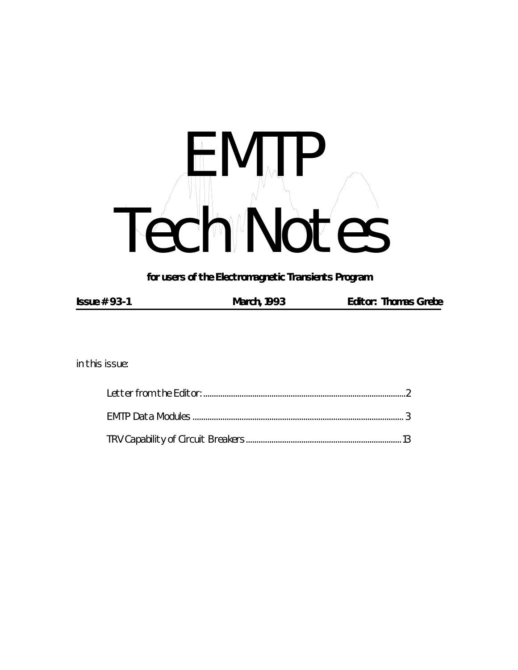# HH MUR Tech Notes

*for users of the Electromagnetic Transients Program*

| Issue $# 93-1$ | <b>March, 1993</b> | <b>Editor: Thomas Grebe</b> |
|----------------|--------------------|-----------------------------|
|                |                    |                             |

*in this issue:*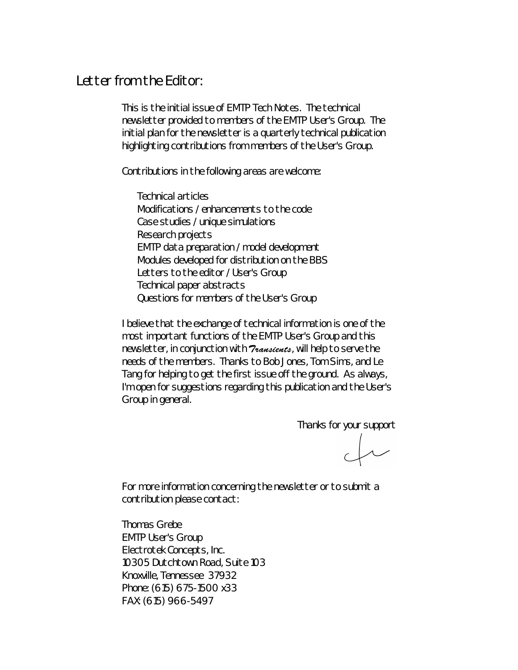### *Letter from the Editor:*

This is the initial issue of *EMTP Tech Notes*. The technical newsletter provided to members of the EMTP User's Group. The initial plan for the newsletter is a quarterly technical publication highlighting contributions from members of the User's Group.

Contributions in the following areas are welcome:

Technical articles Modifications / enhancements to the code Case studies / unique simulations Research projects EMTP data preparation / model development Modules developed for distribution on the BBS Letters to the editor / User's Group Technical paper abstracts Questions for members of the User's Group

I believe that the exchange of technical information is one of the most important functions of the EMTP User's Group and this newsletter, in conjunction with **Transients**, will help to serve the needs of the members. Thanks to Bob Jones, Tom Sims, and Le Tang for helping to get the first issue off the ground. As always, I'm open for suggestions regarding this publication and the User's Group in general.

Thanks for your support

 $\downarrow$ 

For more information concerning the newsletter or to submit a contribution please contact:

Thomas Grebe EMTP User's Group Electrotek Concepts, Inc. 10305 Dutchtown Road, Suite 103 Knoxville, Tennessee 37932 Phone: (615) 675-1500 x33 FAX: (615) 966-5497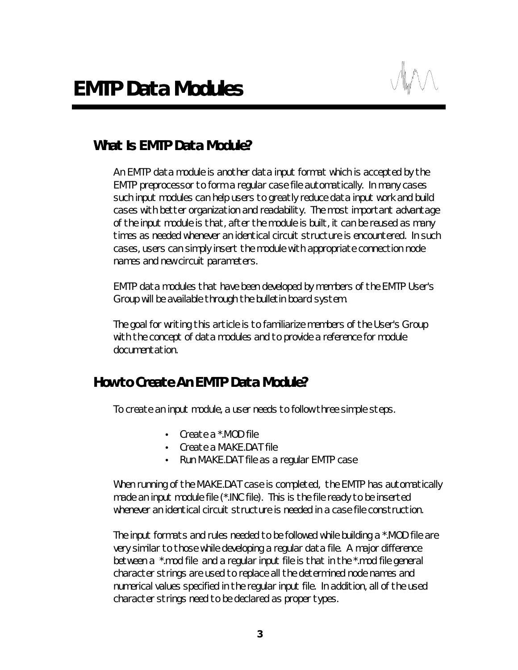# *What Is EMTP Data Module?*

An EMTP data module is another data input format which is accepted by the EMTP preprocessor to form a regular case file automatically. In many cases such input modules can help users to greatly reduce data input work and build cases with better organization and readability. The most important advantage of the input module is that, after the module is built, it can be reused as many times as needed whenever an identical circuit structure is encountered. In such cases, users can simply insert the module with appropriate connection node names and new circuit parameters.

EMTP data modules that have been developed by members of the EMTP User's Group will be available through the bulletin board system.

The goal for writing this article is to familiarize members of the User's Group with the concept of data modules and to provide a reference for module documentation.

## *How to Create An EMTP Data Module?*

To create an input module, a user needs to follow three simple steps.

- Create a \*.MOD file
- Create a MAKE.DAT file
- Run MAKE.DAT file as a regular EMTP case

When running of the MAKE.DAT case is completed, the EMTP has automatically made an input module file (\*.INC file). This is the file ready to be inserted whenever an identical circuit structure is needed in a case file construction.

The input formats and rules needed to be followed while building a \*.MOD file are very similar to those while developing a regular data file. A major difference between a \*.mod file and a regular input file is that in the \*.mod file general character strings are used to replace all the determined node names and numerical values specified in the regular input file. In addition, all of the used character strings need to be declared as proper types.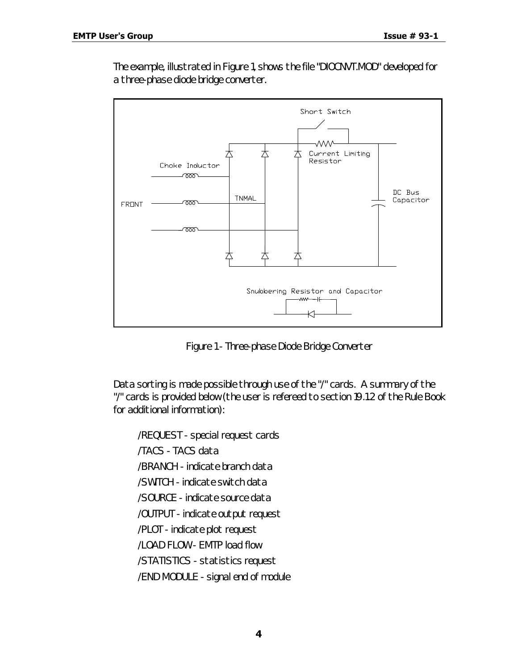The example, illustrated in Figure 1, shows the file "DIOCNVT.MOD" developed for a three-phase diode bridge converter.



*Figure 1 - Three-phase Diode Bridge Converter*

Data sorting is made possible through use of the "/" cards. A summary of the "/" cards is provided below (the user is refereed to section 19.1.2 of the Rule Book for additional information):

/REQUEST - special request cards /TACS - TACS data /BRANCH - indicate branch data /SWITCH - indicate switch data /SOURCE - indicate source data /OUTPUT - indicate output request /PLOT - indicate plot request /LOAD FLOW - EMTP load flow /STATISTICS - statistics request /END MODULE - signal end of module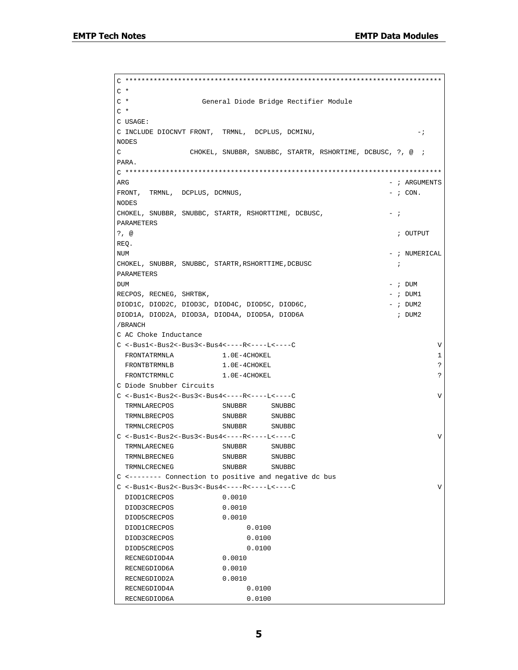C \*\*\*\*\*\*\*\*\*\*\*\*\*\*\*\*\*\*\*\*\*\*\*\*\*\*\*\*\*\*\*\*\*\*\*\*\*\*\*\*\*\*\*\*\*\*\*\*\*\*\*\*\*\*\*\*\*\*\*\*\*\*\*\*\*\*\*\*\*\*\*\*\*\*\*\*\*\*  $C$  \* C \* General Diode Bridge Rectifier Module  $C^*$ C USAGE: C INCLUDE DIOCNVT FRONT, TRMNL, DCPLUS, DCMINU,  $-$ ; NODES C CHOKEL, SNUBBR, SNUBBC, STARTR, RSHORTIME, DCBUSC, ?, @ ; PARA. C \*\*\*\*\*\*\*\*\*\*\*\*\*\*\*\*\*\*\*\*\*\*\*\*\*\*\*\*\*\*\*\*\*\*\*\*\*\*\*\*\*\*\*\*\*\*\*\*\*\*\*\*\*\*\*\*\*\*\*\*\*\*\*\*\*\*\*\*\*\*\*\*\*\*\*\*\*\*  $\overline{R}$  arguments are set to the set of the set of the set of the set of the set of the set of the set of the set of the set of the set of the set of the set of the set of the set of the set of the set of the set of the  $FRONT$ , TRMNL, DCPLUS, DCMNUS,  $-$  ; CON. NODES CHOKEL, SNUBBR, SNUBBC, STARTR, RSHORTTIME, DCBUSC,  $-$  ; PARAMETERS ?, @ ; OUTPUT REQ. NUM - ; NUMERICAL CHOKEL, SNUBBR, SNUBBC, STARTR, RSHORTTIME, DCBUSC  $\qquad \qquad ;$ PARAMETERS  $DUM$   $-$  ;  $DUM$ RECPOS, RECNEG, SHRTBK,  $-$  ; DUM1 DIOD1C, DIOD2C, DIOD3C, DIOD4C, DIOD5C, DIOD6C, - - ; DUM2 DIOD1A, DIOD2A, DIOD3A, DIOD4A, DIOD5A, DIOD6A ; DUM2 /BRANCH C AC Choke Inductance  $C < -Bus1 < -Bus2 < -Bus3 < -Bus4 < ----R < ----C$  $1.0E-4CHOKEL$ FRONTBTRMNLB 1.0E-4CHOKEL 2 FRONTCTRMNLC 1.0E-4CHOKEL 2 C Diode Snubber Circuits  $C < -Bus1 < -Bus2 < -Bus3 < -Bus4 < ----R < ----L < -$  TRMNLARECPOS SNUBBR SNUBBC TRMNLBRECPOS SNUBBR SNUBBC TRMNLCRECPOS SNUBBR SNUBBC C <-Bus1<-Bus2<-Bus3<-Bus4<----R<----L<----C V TRMNLARECNEG SNUBBR SNUBBC TRMNLBRECNEG SNUBBR SNUBBC TRMNLCRECNEG SNUBBR SNUBBC C <-------- Connection to positive and negative dc bus C <-Bus1<-Bus2<-Bus3<-Bus4<----R<----L<----C V DIOD1CRECPOS 0.0010 DIOD3CRECPOS 0.0010 DIOD5CRECPOS 0.0010 DIOD1CRECPOS 0.0100 DIOD3CRECPOS 0.0100 DIOD5CRECPOS 0.0100 RECNEGDIOD4A 0.0010 RECNEGDIOD6A 0.0010 RECNEGDIOD2A 0.0010 RECNEGDIOD4A 0.0100 RECNEGDIOD6A 0.0100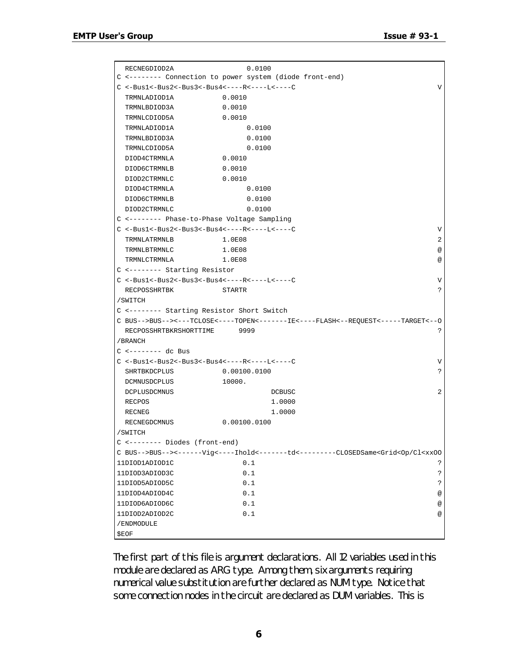| RECNEGDIOD2A                                   | 0.0100                                                                          |            |
|------------------------------------------------|---------------------------------------------------------------------------------|------------|
|                                                | C <-------- Connection to power system (diode front-end)                        |            |
| $C$ <-Bus1<-Bus2<-Bus3<-Bus4<----R<----L<----C |                                                                                 | V          |
| TRMNLADIOD1A                                   | 0.0010                                                                          |            |
| TRMNLBDIOD3A                                   | 0.0010                                                                          |            |
| TRMNLCDIOD5A                                   | 0.0010                                                                          |            |
| TRMNLADIOD1A                                   | 0.0100                                                                          |            |
| TRMNLBDIOD3A                                   | 0.0100                                                                          |            |
| TRMNLCDIOD5A                                   | 0.0100                                                                          |            |
| DIOD4CTRMNLA                                   | 0.0010                                                                          |            |
| DIOD6CTRMNLB                                   | 0.0010                                                                          |            |
| DIOD2CTRMNLC                                   | 0.0010                                                                          |            |
| DIOD4CTRMNLA                                   | 0.0100                                                                          |            |
| DIOD6CTRMNLB                                   | 0.0100                                                                          |            |
| DIOD2CTRMNLC                                   | 0.0100                                                                          |            |
| C <------- Phase-to-Phase Voltage Sampling     |                                                                                 |            |
| $C$ <-Bus1<-Bus2<-Bus3<-Bus4<----R<----L<----C |                                                                                 | V          |
| TRMNLATRMNLB                                   | 1.0E08                                                                          | 2          |
| TRMNLBTRMNLC                                   | 1.0E08                                                                          | @          |
| TRMNLCTRMNLA                                   | 1.0E08                                                                          | $^{\circ}$ |
| C <-------- Starting Resistor                  |                                                                                 |            |
| $C$ <-Bus1<-Bus2<-Bus3<-Bus4<----R<----L<----C |                                                                                 | V          |
| RECPOSSHRTBK                                   | STARTR                                                                          | S          |
|                                                |                                                                                 |            |
| /SWITCH                                        |                                                                                 |            |
| C <------- Starting Resistor Short Switch      |                                                                                 |            |
|                                                | C BUS-->BUS--><---TCLOSE<----TOPEN<-------IE<----FLASH<--REQUEST<----TARGET<--0 |            |
| RECPOSSHRTBKRSHORTTIME                         | 9999                                                                            | ?          |
| /BRANCH                                        |                                                                                 |            |
| $C$ <-------- dc Bus                           |                                                                                 |            |
| $C$ <-Bus1<-Bus2<-Bus3<-Bus4<----R<----L<----C |                                                                                 | V          |
| SHRTBKDCPLUS                                   | 0.00100.0100                                                                    | ?          |
| DCMNUSDCPLUS                                   | 10000.                                                                          |            |
| DCPLUSDCMNUS                                   | DCBUSC                                                                          | 2          |
| <b>RECPOS</b>                                  | 1,0000                                                                          |            |
| <b>RECNEG</b>                                  | 1,0000                                                                          |            |
| RECNEGDCMNUS                                   | 0.00100.0100                                                                    |            |
| /SWITCH                                        |                                                                                 |            |
| $C$ <-------- Diodes (front-end)               |                                                                                 |            |
|                                                | $\verb C BUS-->BUS-->----Vig---Ihold----1d<----td<-----CLOSEDSame\verb $        |            |
| 11DIOD1ADIOD1C                                 | 0.1                                                                             | ?          |
| 11DIOD3ADIOD3C                                 | 0.1                                                                             | ?          |
| 11DIOD5ADIOD5C                                 | 0.1                                                                             | ?          |
| 11DIOD4ADIOD4C                                 | 0.1                                                                             | @          |
| 11DIOD6ADIOD6C                                 | 0.1                                                                             | @          |
| 11DIOD2ADIOD2C                                 | 0.1                                                                             | $^{\circ}$ |
| /ENDMODULE                                     |                                                                                 |            |

The first part of this file is argument declarations. All 12 variables used in this module are declared as ARG type. Among them, six arguments requiring numerical value substitution are further declared as NUM type. Notice that some connection nodes in the circuit are declared as DUM variables. This is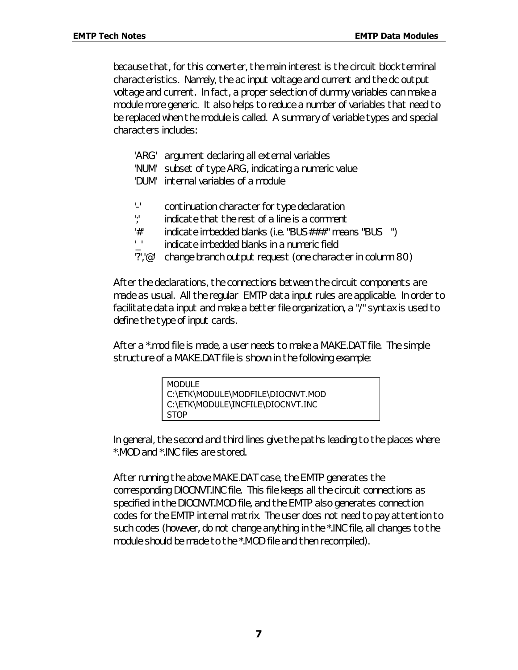because that, for this converter, the main interest is the circuit block terminal characteristics. Namely, the ac input voltage and current and the dc output voltage and current. In fact, a proper selection of dummy variables can make a module more generic. It also helps to reduce a number of variables that need to be replaced when the module is called. A summary of variable types and special characters includes:

- 'ARG' argument declaring all external variables
- 'NUM' subset of type ARG, indicating a numeric value
- 'DUM' internal variables of a module
- '-' continuation character for type declaration
- ';' indicate that the rest of a line is a comment
- '#' indicate imbedded blanks (i.e. "BUS###" means "BUS ")
- '\_' indicate imbedded blanks in a numeric field
- '?','@' change branch output request (one character in column 80)

After the declarations, the connections between the circuit components are made as usual. All the regular EMTP data input rules are applicable. In order to facilitate data input and make a better file organization, a "/" syntax is used to define the type of input cards.

After a \*.mod file is made, a user needs to make a MAKE.DAT file. The simple structure of a MAKE.DAT file is shown in the following example:

In general, the second and third lines give the paths leading to the places where \*.MOD and \*.INC files are stored.

After running the above MAKE.DAT case, the EMTP generates the corresponding DIOCNVT.INC file. This file keeps all the circuit connections as specified in the DIOCNVT.MOD file, and the EMTP also generates connection codes for the EMTP internal matrix. The user does not need to pay attention to such codes (however, do not change anything in the \*.INC file, all changes to the module should be made to the \*.MOD file and then recompiled).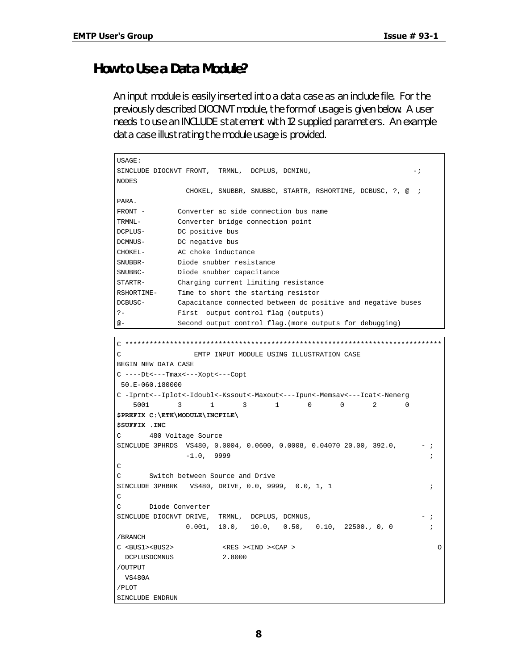### *How to Use a Data Module?*

An input module is easily inserted into a data case as an include file. For the previously described DIOCNVT module, the form of usage is given below. A user needs to use an INCLUDE statement with 12 supplied parameters. An example data case illustrating the module usage is provided.

```
USAGE:
$INCLUDE DIOCNVT FRONT, TRMNL, DCPLUS, DCMINU, -;
NODES
              CHOKEL, SNUBBR, SNUBBC, STARTR, RSHORTIME, DCBUSC, ?, @ ;
PARA.
FRONT - Converter ac side connection bus name
TRMNL- Converter bridge connection point
DCPLUS- DC positive bus
DCMNUS- DC negative bus
CHOKEL- AC choke inductance
SNUBBR- Diode snubber resistance
SNUBBC- Diode snubber capacitance
STARTR- Charging current limiting resistance
RSHORTIME- Time to short the starting resistor
DCBUSC- Capacitance connected between dc positive and negative buses
?- First output control flag (outputs)
@- Second output control flag.(more outputs for debugging)
```

```
C ******************************************************************************
C EMTP INPUT MODULE USING ILLUSTRATION CASE
BEGIN NEW DATA CASE
C ----Dt<---Tmax<---Xopt<---Copt
 50.E-060.180000
C -Iprnt<--Iplot<-Idoubl<-Kssout<-Maxout<---Ipun<-Memsav<---Icat<-Nenerg
   5001 3 1 3 1 0 0 2 0
$PREFIX C:\ETK\MODULE\INCFILE\
$SUFFIX .INC
C 480 Voltage Source
$INCLUDE 3PHRDS VS480, 0.0004, 0.0600, 0.0008, 0.04070 20.00, 392.0, - ;
            -1.0, 9999 ;
\rm CC Switch between Source and Drive
$INCLUDE 3PHBRK VS480, DRIVE, 0.0, 9999, 0.0, 1, 1 ;
\mathcal{C}C Diode Converter
$INCLUDE DIOCNVT DRIVE, TRMNL, DCPLUS, DCMNUS, - ;
           0.001, 10.0, 10.0, 0.50, 0.10, 22500., 0, 0/BRANCH
C <BUS1><BUS2> <RES ><IND ><CAP > O
 DCPLUSDCMNUS 2.8000
/OUTPUT
 VS480A
/PLOT
$INCLUDE ENDRUN
```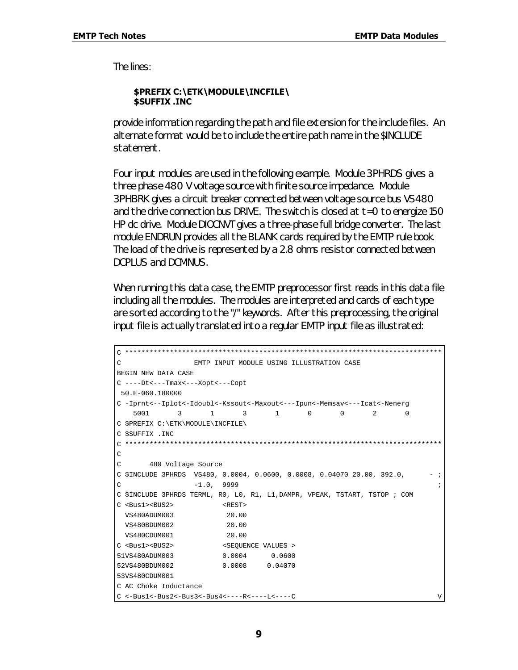The lines:

### **\$PREFIX C:\ETK\MODULE\INCFILE\ \$SUFFIX .INC**

provide information regarding the path and file extension for the include files. An alternate format would be to include the entire path name in the \$INCLUDE statement.

Four input modules are used in the following example. Module 3PHRDS gives a three phase 480 V voltage source with finite source impedance. Module 3PHBRK gives a circuit breaker connected between voltage source bus VS480 and the drive connection bus DRIVE. The switch is closed at t=0 to energize 150 HP dc drive. Module DIOCNVT gives a three-phase full bridge converter. The last module ENDRUN provides all the BLANK cards required by the EMTP rule book. The load of the drive is represented by a 2.8 ohms resistor connected between DCPLUS and DCMNUS.

When running this data case, the EMTP preprocessor first reads in this data file including all the modules. The modules are interpreted and cards of each type are sorted according to the "/" keywords. After this preprocessing, the original input file is actually translated into a regular EMTP input file as illustrated:

```
C ******************************************************************************
C EMTP INPUT MODULE USING ILLUSTRATION CASE
BEGIN NEW DATA CASE
C ----Dt<---Tmax<---Xopt<---Copt
 50.E-060.180000
C -Iprnt<--Iplot<-Idoubl<-Kssout<-Maxout<---Ipun<-Memsav<---Icat<-Nenerg
   5001 3 1 3 1 0 0 2 0
C $PREFIX C:\ETK\MODULE\INCFILE\
C $SUFFIX .INC
C ******************************************************************************
\mathcal{C}C 480 Voltage Source
C $INCLUDE 3PHRDS VSA80, 0.0004, 0.0600, 0.0008, 0.04070 20.00, 392.0, -;C -1.0, 9999 ;
C $INCLUDE 3PHRDS TERML, R0, L0, R1, L1,DAMPR, VPEAK, TSTART, TSTOP ; COM
C <Bus1><BUS2> <REST>
  VS480ADUM003 20.00
  VS480BDUM002 20.00
  VS480CDUM001 20.00
C <Bus1><BUS2> <SEQUENCE VALUES >
51VS480ADUM003 0.0004 0.0600
52VS480BDUM002 0.0008 0.04070
53VS480CDUM001
C AC Choke Inductance
C <-Bus1<-Bus2<-Bus3<-Bus4<----R<----L<----C V
```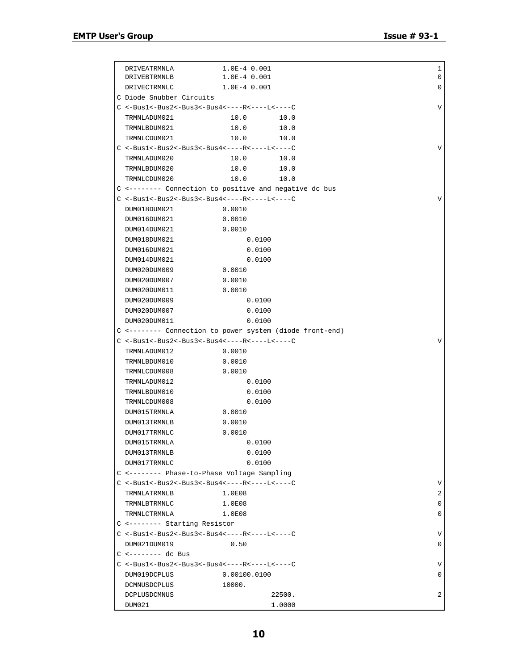٦

| DRIVEATRMNLA             | 1.0E-4 0.001                                                        |        | 1 |
|--------------------------|---------------------------------------------------------------------|--------|---|
| DRIVEBTRMNLB             | $1.0E-4$ 0.001                                                      |        | 0 |
| DRIVECTRMNLC             | $1.0E-4$ 0.001                                                      |        | 0 |
| C Diode Snubber Circuits |                                                                     |        |   |
|                          | $C < -Bus1 < -Bus2 < -Bus3 < -Bus4 < - - - - R < - - - L < - - - C$ |        | V |
| TRMNLADUM021             | 10.0                                                                | 10.0   |   |
| TRMNLBDUM021             | 10.0                                                                | 10.0   |   |
| TRMNLCDUM021             | 10.0                                                                | 10.0   |   |
|                          | $C$ <-Bus1<-Bus2<-Bus3<-Bus4<----R<----L<----C                      |        | V |
| TRMNLADUM020             | 10.0                                                                | 10.0   |   |
| TRMNLBDUM020             | 10.0                                                                | 10.0   |   |
| TRMNLCDUM020             | 10.0                                                                | 10.0   |   |
|                          | C <-------- Connection to positive and negative dc bus              |        |   |
|                          | $C$ <-Bus1<-Bus2<-Bus3<-Bus4<----R<----L<----C                      |        | V |
| DUM018DUM021             | 0.0010                                                              |        |   |
| DUM016DUM021             | 0.0010                                                              |        |   |
| DUM014DUM021             | 0.0010                                                              |        |   |
| DUM018DUM021             | 0.0100                                                              |        |   |
| DUM016DUM021             | 0.0100                                                              |        |   |
| DUM014DUM021             | 0.0100                                                              |        |   |
| DUM020DUM009             | 0.0010                                                              |        |   |
| DUM020DUM007             | 0.0010                                                              |        |   |
| DUM020DUM011             | 0.0010                                                              |        |   |
| DUM020DUM009             | 0.0100                                                              |        |   |
| DUM020DUM007             | 0.0100                                                              |        |   |
| DUM020DUM011             | 0.0100                                                              |        |   |
|                          | C <-------- Connection to power system (diode front-end)            |        |   |
|                          | $C$ <-Bus1<-Bus2<-Bus3<-Bus4<----R<----L<----C                      |        | V |
| TRMNLADUM012             | 0.0010                                                              |        |   |
| TRMNLBDUM010             | 0.0010                                                              |        |   |
| TRMNLCDUM008             | 0.0010                                                              |        |   |
| TRMNLADUM012             | 0.0100                                                              |        |   |
| TRMNLBDUM010             | 0.0100                                                              |        |   |
| TRMNLCDUM008             | 0.0100                                                              |        |   |
| DUM015TRMNLA             | 0.0010                                                              |        |   |
| DUM013TRMNLB             | 0.0010                                                              |        |   |
| DUM017TRMNLC             | 0.0010                                                              |        |   |
| DUM015TRMNLA             | 0.0100                                                              |        |   |
| DUM013TRMNLB             | 0.0100                                                              |        |   |
| DUM017TRMNLC             | 0.0100                                                              |        |   |
|                          | C <-------- Phase-to-Phase Voltage Sampling                         |        |   |
|                          | $C < -Bus1 < -Bus2 < -Bus3 < -Bus4 < - - - - R < - - - L < - - - C$ |        | V |
| TRMNLATRMNLB             | 1.0E08                                                              |        | 2 |
| TRMNLBTRMNLC             | 1.0E08                                                              |        | 0 |
| TRMNLCTRMNLA             | 1.0E08                                                              |        | 0 |
|                          | C <-------- Starting Resistor                                       |        |   |
|                          | $C < -Bus1 < -Bus2 < -Bus3 < -Bus4 < - - - - R < - - - L < - - - C$ |        | V |
| DUM021DUM019             | 0.50                                                                |        | 0 |
| $C$ <-------- dc Bus     |                                                                     |        |   |
|                          | $C < -Bus1 < -Bus2 < -Bus3 < -Bus4 < - - - - R < - - - L < - - - C$ |        | V |
| DUM019DCPLUS             | 0.00100.0100                                                        |        | 0 |
| DCMNUSDCPLUS             | 10000.                                                              |        |   |
| DCPLUSDCMNUS             |                                                                     | 22500. | 2 |
| DUM021                   |                                                                     | 1.0000 |   |
|                          |                                                                     |        |   |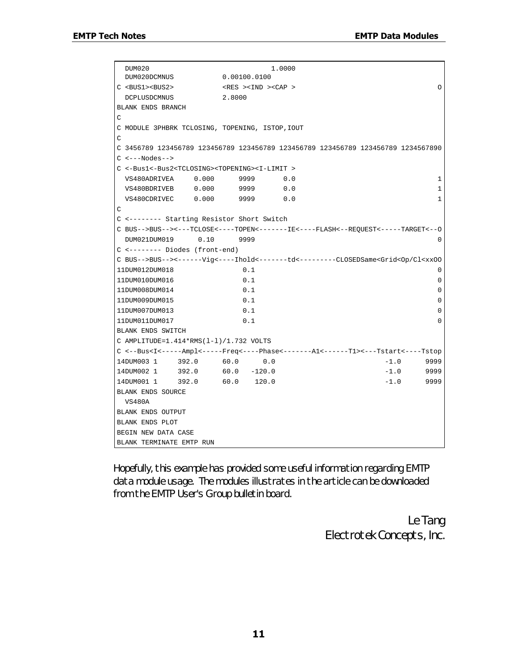```
 DUM020 1.0000
  DUM020DCMNUS 0.00100.0100
C <BUS1><BUS2> <RES ><IND ><CAP > O
 DCPLUSDCMNUS 2.8000
BLANK ENDS BRANCH
C
C MODULE 3PHBRK TCLOSING, TOPENING, ISTOP,IOUT
\overline{C}C 3456789 123456789 123456789 123456789 123456789 123456789 123456789 1234567890
C <---Nodes-->
C <-Bus1<-Bus2<TCLOSING><TOPENING><I-LIMIT >
  VS480ADRIVEA 0.000 9999 0.0 1
  VS480BDRIVEB 0.000 9999 0.0 1
 VS480CDRIVEC 0.000 9999 0.0 1
\mathcal{C}C <-------- Starting Resistor Short Switch
C BUS-->BUS--><---TCLOSE<----TOPEN<-------IE<----FLASH<--REQUEST<-----TARGET<--O
 DUM021DUM019 0.10 9999 0
C <-------- Diodes (front-end)
C BUS-->BUS--><------Vig<----Ihold<-------td<---------CLOSEDSame<Grid<Op/Cl<xxOO
11DUM012DUM018 0.1 0
11DUM010DUM016 0.1 0
11DUM008DUM014 0.1 0
11DUM009DUM015 0.1 0
11DUM007DUM013 0.1 0
11DUM011DUM017 0.1 0
BLANK ENDS SWITCH
C AMPLITUDE=1.414*RMS(l-l)/1.732 VOLTS
C <--Bus<I<-----Ampl<-----Freq<----Phase<-------A1<------T1><---Tstart<----Tstop
14DUM003 1 392.0 60.0 0.0 -1.0 9999
14DUM002 1 392.0 60.0 -120.0 -1.0 9999
14DUM001 1 392.0 60.0 120.0 -1.0 9999
BLANK ENDS SOURCE
 VS480A
BLANK ENDS OUTPUT
BLANK ENDS PLOT
BEGIN NEW DATA CASE
BLANK TERMINATE EMTP RUN
```
Hopefully, this example has provided some useful information regarding EMTP data module usage. The modules illustrates in the article can be downloaded from the EMTP User's Group bulletin board.

> *Le Tang Electrotek Concepts, Inc.*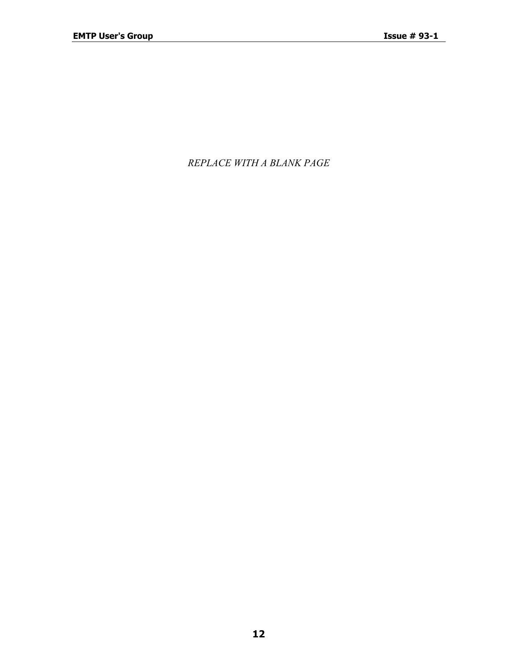*REPLACE WITH A BLANK PAGE*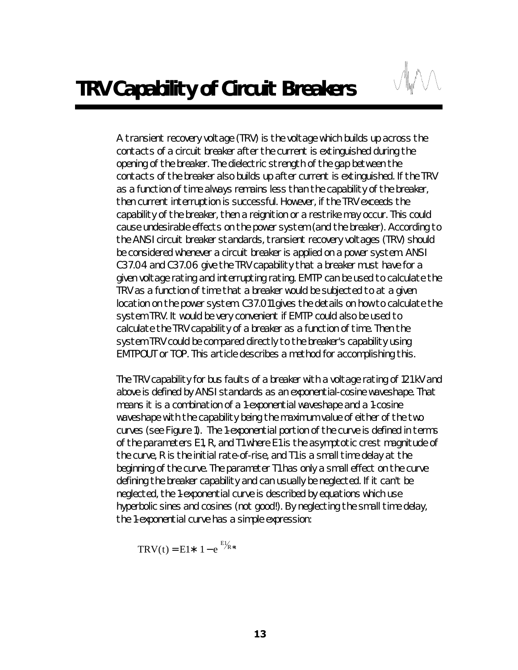A transient recovery voltage (TRV) is the voltage which builds up across the contacts of a circuit breaker after the current is extinguished during the opening of the breaker. The dielectric strength of the gap between the contacts of the breaker also builds up after current is extinguished. If the TRV as a function of time always remains less than the capability of the breaker, then current interruption is successful. However, if the TRV exceeds the capability of the breaker, then a reignition or a restrike may occur. This could cause undesirable effects on the power system (and the breaker). According to the ANSI circuit breaker standards, transient recovery voltages (TRV) should be considered whenever a circuit breaker is applied on a power system. ANSI C37.04 and C37.06 give the TRV capability that a breaker must have for a given voltage rating and interrupting rating. EMTP can be used to calculate the TRV as a function of time that a breaker would be subjected to at a given location on the power system. C37.011 gives the details on how to calculate the system TRV. It would be very convenient if EMTP could also be used to calculate the TRV capability of a breaker as a function of time. Then the system TRV could be compared directly to the breaker's capability using EMTPOUT or TOP. This article describes a method for accomplishing this.

The TRV capability for bus faults of a breaker with a voltage rating of 121 kV and above is defined by ANSI standards as an exponential-cosine waveshape. That means it is a combination of a 1-exponential waveshape and a 1-cosine waveshape with the capability being the maximum value of either of the two curves (see Figure 1). The 1-exponential portion of the curve is defined in terms of the parameters E1, R, and T1 where E1 is the asymptotic crest magnitude of the curve, R is the initial rate-of-rise, and T1 is a small time delay at the beginning of the curve. The parameter T1 has only a small effect on the curve defining the breaker capability and can usually be neglected. If it can't be neglected, the 1-exponential curve is described by equations which use hyperbolic sines and cosines (not good!). By neglecting the small time delay, the 1-exponential curve has a simple expression:

$$
TRV(t) = E1* 1 - e^{E1/R*t}
$$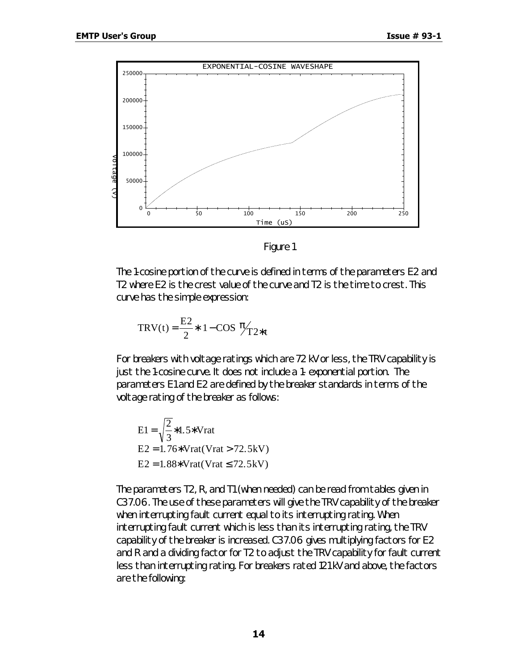

*Figure 1*

The 1-cosine portion of the curve is defined in terms of the parameters E2 and T2 where E2 is the crest value of the curve and T2 is the time to crest. This curve has the simple expression:

$$
TRV(t) = \frac{E2}{2} * 1 - \cos \frac{\pi}{2} t
$$

For breakers with voltage ratings which are 72 kV or less, the TRV capability is just the 1-cosine curve. It does not include a 1- exponential portion. The parameters E1 and E2 are defined by the breaker standards in terms of the voltage rating of the breaker as follows:

E1 = 
$$
\sqrt{\frac{2}{3}}
$$
 \* 1.5\* Vrat  
E2 = 1.76\* Vrat(Vrat > 72.5kV)  
E2 = 1.88\* Vrat(Vrat ≤ 72.5kV)

The parameters T2, R, and T1 (when needed) can be read from tables given in C37.06. The use of these parameters will give the TRV capability of the breaker when interrupting fault current equal to its interrupting rating. When interrupting fault current which is less than its interrupting rating, the TRV capability of the breaker is increased. C37.06 gives multiplying factors for E2 and R and a dividing factor for T2 to adjust the TRV capability for fault current less than interrupting rating. For breakers rated 121 kV and above, the factors are the following: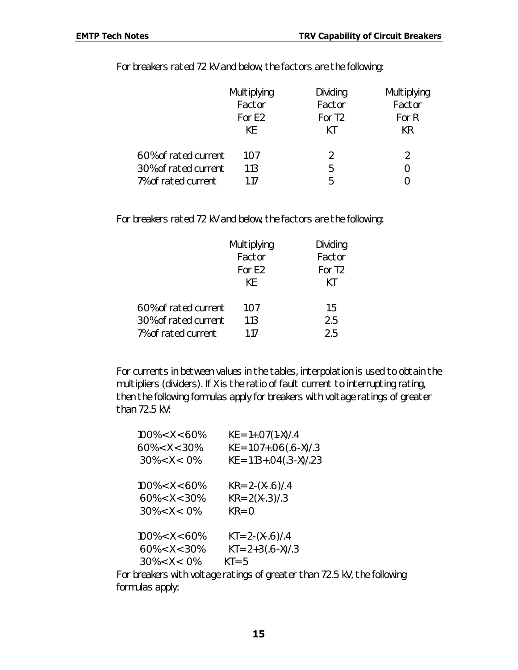For breakers rated 72 kV and below, the factors are the following:

|                      | Multiplying | Dividing           | Multiplying |
|----------------------|-------------|--------------------|-------------|
|                      | Factor      | Factor             | Factor      |
|                      | For E2      | For T <sub>2</sub> | For R       |
|                      | KE.         | КT                 | KR          |
| 60% of rated current | 1.07        | $\mathcal{P}$      |             |
| 30% of rated current | 1.13        | 5                  |             |
| 7% of rated current  | 1.17        | 5                  |             |

For breakers rated 72 kV and below, the factors are the following:

|                      | Multiplying<br>Factor<br>For E <sub>2</sub><br>KF. | Dividing<br>Factor<br>For T <sub>2</sub><br>КT |
|----------------------|----------------------------------------------------|------------------------------------------------|
| 60% of rated current | 1.07                                               | 1.5                                            |
| 30% of rated current | 1.13                                               | 2.5                                            |
| 7% of rated current  | 1 1 7                                              | 25                                             |

For currents in between values in the tables, interpolation is used to obtain the multipliers (dividers). If X is the ratio of fault current to interrupting rating, then the following formulas apply for breakers with voltage ratings of greater than 72.5 kV:

| $100\% < X < 60\%$ | $KE = 1+.07(1-X)/.4$                               |
|--------------------|----------------------------------------------------|
| $60\% < X < 30\%$  | $KE = 1.07 + .06(.6 - X)/.3$                       |
| $30\% < X < 0\%$   | $KE = 1.13 + .04(.3-X)/.23$                        |
| $100\% < X < 60\%$ | $KR = 2-(X-.6)/.4$                                 |
| $60\% < X < 30\%$  | $KR = 2(X-.3)/3$                                   |
| $30\% < X < 0\%$   | $KR = 0$                                           |
| $100\% < X < 60\%$ | $KT = 2-(X-.6)/.4$                                 |
| $60\% < X < 30\%$  | $KT = 2 + 3(.6 - X)/.3$                            |
| $30\% < X < 0\%$   | $KT = 5$                                           |
|                    | hreakers with valtage retings of greater than 70 L |

For breakers with voltage ratings of greater than 72.5 kV, the following formulas apply: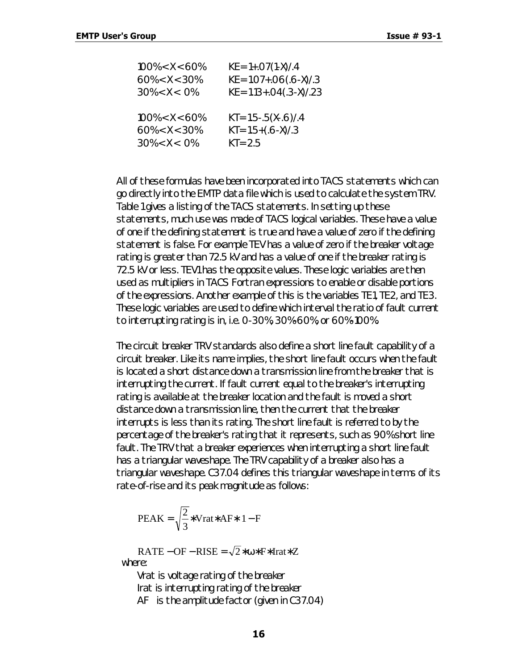| $100\% < X < 60\%$ | $KE = 1+.07(1-X)/.4$         |
|--------------------|------------------------------|
| $60\% < X < 30\%$  | $KE = 1.07 + .06(.6 - X)/.3$ |
| $30\% < X < 0\%$   | $KE = 1.13 + .04(.3-X)/.23$  |
| $100\% < X < 60\%$ | $KT = 1.5 - .5(X - .6)/.4$   |
| $60\% < X < 30\%$  | $KT = 1.5 + (.6 - X)/.3$     |
| $30\% < X < 0\%$   | $KT = 2.5$                   |

All of these formulas have been incorporated into TACS statements which can go directly into the EMTP data file which is used to calculate the system TRV. Table 1 gives a listing of the TACS statements. In setting up these statements, much use was made of TACS logical variables. These have a value of one if the defining statement is true and have a value of zero if the defining statement is false. For example TEV has a value of zero if the breaker voltage rating is greater than 72.5 kV and has a value of one if the breaker rating is 72.5 kV or less. TEV1 has the opposite values. These logic variables are then used as multipliers in TACS Fortran expressions to enable or disable portions of the expressions. Another example of this is the variables TE1, TE2, and TE3. These logic variables are used to define which interval the ratio of fault current to interrupting rating is in, i.e. 0-30%, 30%-60%, or 60%-100%.

The circuit breaker TRV standards also define a short line fault capability of a circuit breaker. Like its name implies, the short line fault occurs when the fault is located a short distance down a transmission line from the breaker that is interrupting the current. If fault current equal to the breaker's interrupting rating is available at the breaker location and the fault is moved a short distance down a transmission line, then the current that the breaker interrupts is less than its rating. The short line fault is referred to by the percentage of the breaker's rating that it represents, such as 90% short line fault. The TRV that a breaker experiences when interrupting a short line fault has a triangular waveshape. The TRV capability of a breaker also has a triangular waveshape. C37.04 defines this triangular waveshape in terms of its rate-of-rise and its peak magnitude as follows:

PEAK = 
$$
\sqrt{\frac{2}{3}}
$$
 \*Vrat\* AF\* 1-F

 $RATE - OF - RISE = \sqrt{2} * \omega * F * Irat * Z$ where:

Vrat is voltage rating of the breaker Irat is interrupting rating of the breaker AF is the amplitude factor (given in C37.04)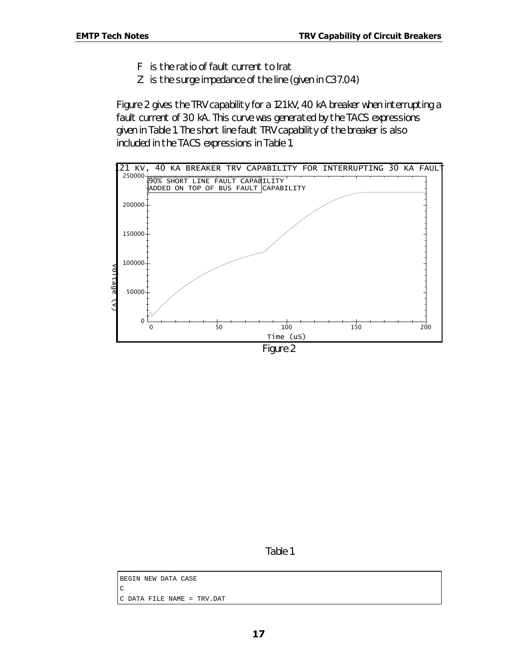- F is the ratio of fault current to Irat
- Z is the surge impedance of the line (given in C37.04)

Figure 2 gives the TRV capability for a 121 kV, 40 kA breaker when interrupting a fault current of 30 kA. This curve was generated by the TACS expressions given in Table 1. The short line fault TRV capability of the breaker is also included in the TACS expressions in Table 1.





*Table 1*

BEGIN NEW DATA CASE  $\overline{C}$ C DATA FILE NAME = TRV.DAT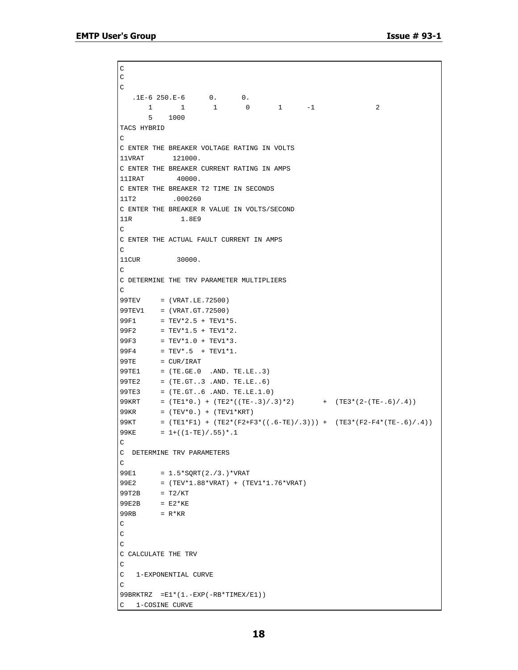```
C
\rm C\rm C1E-6 250.E-6 0. 0.
 1 1 1 0 1 -1 2
       5 1000
TACS HYBRID
\mathcal{C}C ENTER THE BREAKER VOLTAGE RATING IN VOLTS
11VRAT 121000.
C ENTER THE BREAKER CURRENT RATING IN AMPS
11IRAT 40000.
C ENTER THE BREAKER T2 TIME IN SECONDS
11T2 .000260
C ENTER THE BREAKER R VALUE IN VOLTS/SECOND
11R 1.8E9
C
C ENTER THE ACTUAL FAULT CURRENT IN AMPS
\mathsf C11CUR 30000.
\mathsf{C}C DETERMINE THE TRV PARAMETER MULTIPLIERS
\mathsf C99TEV = (VRAT.LE.72500)
99TEV1 = (VRAT.GT.72500)
99F1 = TEV*2.5 + TEV1*5.
99F2 = TEV*1.5 + TEV1*2.
99F3 = TEV*1.0 + TEV1*3.99F4 = TEV^* .5 + TEV1*1.99TE = CUR/IRAT99TE1 = (TE.GE.0 .AND. TE.LE..3)
99TE2 = (TE.GT..3 .AND. TE.LE..6)
99TE3 = (TE.GT..6 .AND. TE.LE.1.0)
99KRT = (TE1*0.) + (TE2*((TE-.3)/.3)*2) + (TE3*(2-(TE-.6)/.4))99KR = (TEV*0.) + (TEV1*KRT)99KT = (TE1*F1) + (TE2*(F2+F3*((.6-TE)/.3))) + (TE3*(F2-F4*(TE-.6)/.4))99KE = 1+((1-TE)/.55)*.1\mathsf{C}C DETERMINE TRV PARAMETERS
\mathsf{C}99E1 = 1.5*SQRT(2./3.)*VRAT99E2 = (TEV*1.88*VRAT) + (TEV1*1.76*VRAT)
99T2B = T2/KT
99E2B = E2*KE99RB = R*KR\mathsf C\rm CC
C CALCULATE THE TRV
C
C 1-EXPONENTIAL CURVE
\mathsf C99BRKTRZ =E1*(1.-EXP(-RB*TIMEX/E1))
C 1-COSINE CURVE
```